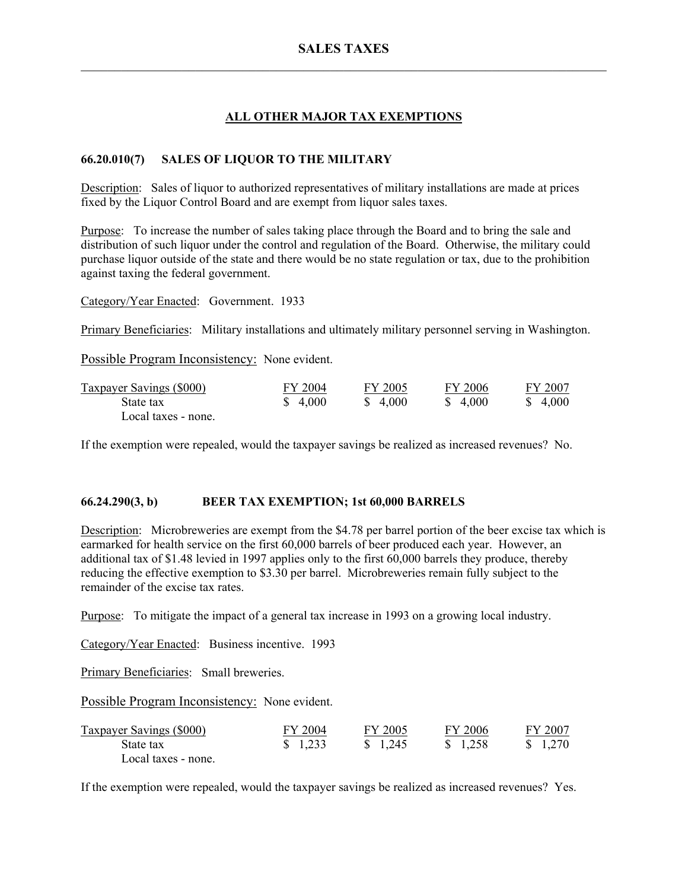# **ALL OTHER MAJOR TAX EXEMPTIONS**

# **66.20.010(7) SALES OF LIQUOR TO THE MILITARY**

Description: Sales of liquor to authorized representatives of military installations are made at prices fixed by the Liquor Control Board and are exempt from liquor sales taxes.

Purpose: To increase the number of sales taking place through the Board and to bring the sale and distribution of such liquor under the control and regulation of the Board. Otherwise, the military could purchase liquor outside of the state and there would be no state regulation or tax, due to the prohibition against taxing the federal government.

Category/Year Enacted: Government. 1933

Primary Beneficiaries: Military installations and ultimately military personnel serving in Washington.

Possible Program Inconsistency: None evident.

| <b>Taxpayer Savings (\$000)</b> | FY 2004 | FY 2005  | FY 2006  | FY 2007 |
|---------------------------------|---------|----------|----------|---------|
| State tax                       | \$4,000 | \$ 4.000 | \$ 4,000 | \$4,000 |
| Local taxes - none.             |         |          |          |         |

If the exemption were repealed, would the taxpayer savings be realized as increased revenues? No.

### **66.24.290(3, b) BEER TAX EXEMPTION; 1st 60,000 BARRELS**

Description: Microbreweries are exempt from the \$4.78 per barrel portion of the beer excise tax which is earmarked for health service on the first 60,000 barrels of beer produced each year. However, an additional tax of \$1.48 levied in 1997 applies only to the first 60,000 barrels they produce, thereby reducing the effective exemption to \$3.30 per barrel. Microbreweries remain fully subject to the remainder of the excise tax rates.

Purpose: To mitigate the impact of a general tax increase in 1993 on a growing local industry.

Category/Year Enacted: Business incentive. 1993

Primary Beneficiaries: Small breweries.

Possible Program Inconsistency: None evident.

| <b>Taxpayer Savings (\$000)</b> | FY 2004           | FY 2005  | FY 2006  | FY 2007 |
|---------------------------------|-------------------|----------|----------|---------|
| State tax                       | $\frac{1,233}{ }$ | \$ 1.245 | \$ 1.258 | \$1,270 |
| Local taxes - none.             |                   |          |          |         |

If the exemption were repealed, would the taxpayer savings be realized as increased revenues? Yes.